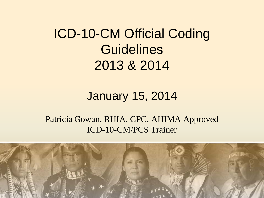ICD-10-CM Official Coding **Guidelines** 2013 & 2014

#### January 15, 2014

#### Patricia Gowan, RHIA, CPC, AHIMA Approved ICD-10-CM/PCS Trainer

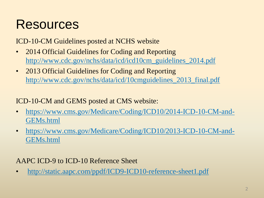#### **Resources**

ICD-10-CM Guidelines posted at NCHS website

- 2014 Official Guidelines for Coding and Reporting [http://www.cdc.gov/nchs/data/icd/icd10cm\\_guidelines\\_2014.pdf](http://www.cdc.gov/nchs/data/icd/icd10cm_guidelines_2014.pdf)
- 2013 Official Guidelines for Coding and Reporting [http://www.cdc.gov/nchs/data/icd/10cmguidelines\\_2013\\_final.pdf](http://www.cdc.gov/nchs/data/icd/10cmguidelines_2013_final.pdf)

ICD-10-CM and GEMS posted at CMS website:

- [https://www.cms.gov/Medicare/Coding/ICD10/2014-ICD-10-CM-and-](https://www.cms.gov/Medicare/Coding/ICD10/2014-ICD-10-CM-and-GEMs.html)[GEMs.html](https://www.cms.gov/Medicare/Coding/ICD10/2014-ICD-10-CM-and-GEMs.html)
- [https://www.cms.gov/Medicare/Coding/ICD10/2013-ICD-10-CM-and-](https://www.cms.gov/Medicare/Coding/ICD10/2013-ICD-10-CM-and-GEMs.html)[GEMs.html](https://www.cms.gov/Medicare/Coding/ICD10/2013-ICD-10-CM-and-GEMs.html)

AAPC ICD-9 to ICD-10 Reference Sheet

• <http://static.aapc.com/ppdf/ICD9-ICD10-reference-sheet1.pdf>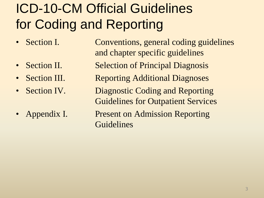## ICD-10-CM Official Guidelines for Coding and Reporting

- 
- 
- 
- 
- 

• Section I. Conventions, general coding guidelines and chapter specific guidelines • Section II. Selection of Principal Diagnosis • Section III. Reporting Additional Diagnoses • Section IV. Diagnostic Coding and Reporting Guidelines for Outpatient Services Appendix I. Present on Admission Reporting Guidelines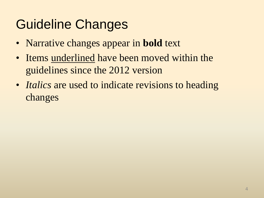## Guideline Changes

- Narrative changes appear in **bold** text
- Items underlined have been moved within the guidelines since the 2012 version
- *Italics* are used to indicate revisions to heading changes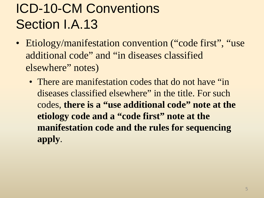## ICD-10-CM Conventions Section I.A.13

- Etiology/manifestation convention ("code first", "use additional code" and "in diseases classified elsewhere" notes)
	- There are manifestation codes that do not have "in diseases classified elsewhere" in the title. For such codes, **there is a "use additional code" note at the etiology code and a "code first" note at the manifestation code and the rules for sequencing apply**.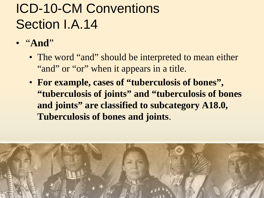## ICD-10-CM Conventions Section I.A.14

- "**And**"
	- The word "and" should be interpreted to mean either "and" or "or" when it appears in a title.
	- **For example, cases of "tuberculosis of bones", "tuberculosis of joints" and "tuberculosis of bones and joints" are classified to subcategory A18.0, Tuberculosis of bones and joints**.

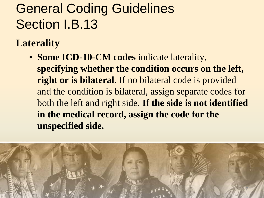## General Coding Guidelines Section I.B.13

**Laterality** 

• **Some ICD-10-CM codes** indicate laterality, **specifying whether the condition occurs on the left, right or is bilateral**. If no bilateral code is provided and the condition is bilateral, assign separate codes for both the left and right side. **If the side is not identified in the medical record, assign the code for the unspecified side.**

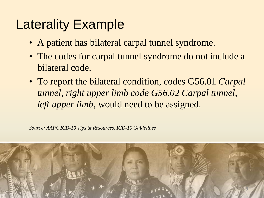#### Laterality Example

- A patient has bilateral carpal tunnel syndrome.
- The codes for carpal tunnel syndrome do not include a bilateral code.
- To report the bilateral condition, codes G56.01 *Carpal tunnel, right upper limb code G56.02 Carpal tunnel, left upper limb*, would need to be assigned.

*Source: AAPC ICD-10 Tips & Resources, ICD-10 Guidelines* 

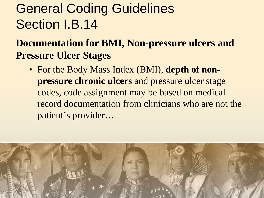### General Coding Guidelines Section I.B.14

#### **Documentation for BMI, Non-pressure ulcers and Pressure Ulcer Stages**

• For the Body Mass Index (BMI), **depth of nonpressure chronic ulcers** and pressure ulcer stage codes, code assignment may be based on medical record documentation from clinicians who are not the patient's provider…

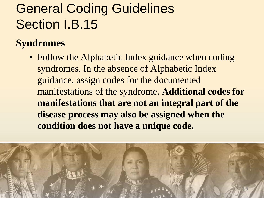## General Coding Guidelines Section I.B.15

#### **Syndromes**

• Follow the Alphabetic Index guidance when coding syndromes. In the absence of Alphabetic Index guidance, assign codes for the documented manifestations of the syndrome. **Additional codes for manifestations that are not an integral part of the disease process may also be assigned when the condition does not have a unique code.** 

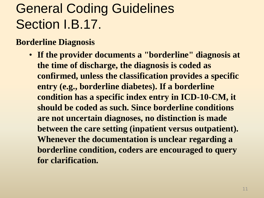## General Coding Guidelines Section I.B.17.

#### **Borderline Diagnosis**

• **If the provider documents a "borderline" diagnosis at the time of discharge, the diagnosis is coded as confirmed, unless the classification provides a specific entry (e.g., borderline diabetes). If a borderline condition has a specific index entry in ICD-10-CM, it should be coded as such. Since borderline conditions are not uncertain diagnoses, no distinction is made between the care setting (inpatient versus outpatient). Whenever the documentation is unclear regarding a borderline condition, coders are encouraged to query for clarification.**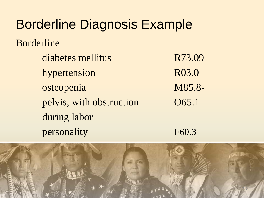# Borderline Diagnosis Example Borderline

diabetes mellitus R73.09 hypertension R03.0 osteopenia M85.8 pelvis, with obstruction 065.1 during labor personality F60.3

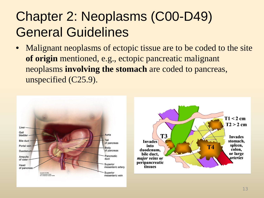## Chapter 2: Neoplasms (C00-D49) General Guidelines

• Malignant neoplasms of ectopic tissue are to be coded to the site **of origin** mentioned, e.g., ectopic pancreatic malignant neoplasms **involving the stomach** are coded to pancreas, unspecified (C25.9).

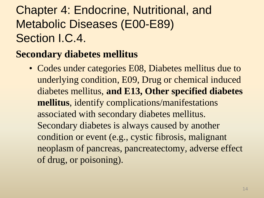#### Chapter 4: Endocrine, Nutritional, and Metabolic Diseases (E00-E89) Section I.C.4.

#### **Secondary diabetes mellitus**

• Codes under categories E08, Diabetes mellitus due to underlying condition, E09, Drug or chemical induced diabetes mellitus, **and E13, Other specified diabetes mellitus**, identify complications/manifestations associated with secondary diabetes mellitus. Secondary diabetes is always caused by another condition or event (e.g., cystic fibrosis, malignant neoplasm of pancreas, pancreatectomy, adverse effect of drug, or poisoning).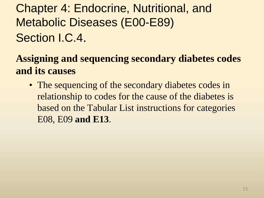Chapter 4: Endocrine, Nutritional, and Metabolic Diseases (E00-E89) Section I.C.4.

**Assigning and sequencing secondary diabetes codes and its causes** 

• The sequencing of the secondary diabetes codes in relationship to codes for the cause of the diabetes is based on the Tabular List instructions for categories E08, E09 **and E13**.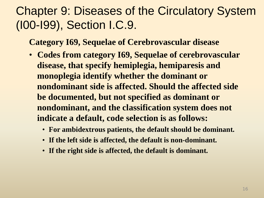#### Chapter 9: Diseases of the Circulatory System (I00-I99), Section I.C.9.

**Category I69, Sequelae of Cerebrovascular disease**

- **Codes from category I69, Sequelae of cerebrovascular disease, that specify hemiplegia, hemiparesis and monoplegia identify whether the dominant or nondominant side is affected. Should the affected side be documented, but not specified as dominant or nondominant, and the classification system does not indicate a default, code selection is as follows:**
	- **For ambidextrous patients, the default should be dominant.**
	- **If the left side is affected, the default is non-dominant.**
	- **If the right side is affected, the default is dominant.**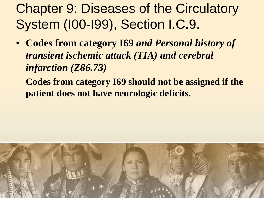### Chapter 9: Diseases of the Circulatory System (I00-I99), Section I.C.9.

• **Codes from category I69** *and Personal history of transient ischemic attack (TIA) and cerebral infarction (Z86.73)* 

**Codes from category I69 should not be assigned if the patient does not have neurologic deficits.** 

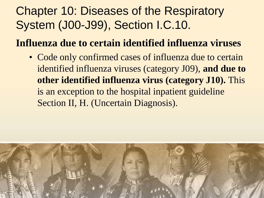#### Chapter 10: Diseases of the Respiratory System (J00-J99), Section I.C.10.

**Influenza due to certain identified influenza viruses** 

• Code only confirmed cases of influenza due to certain identified influenza viruses (category J09), **and due to other identified influenza virus (category J10).** This is an exception to the hospital inpatient guideline Section II, H. (Uncertain Diagnosis).

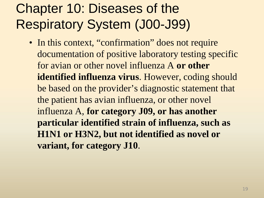### Chapter 10: Diseases of the Respiratory System (J00-J99)

• In this context, "confirmation" does not require documentation of positive laboratory testing specific for avian or other novel influenza A **or other identified influenza virus**. However, coding should be based on the provider's diagnostic statement that the patient has avian influenza, or other novel influenza A, **for category J09, or has another particular identified strain of influenza, such as H1N1 or H3N2, but not identified as novel or variant, for category J10**.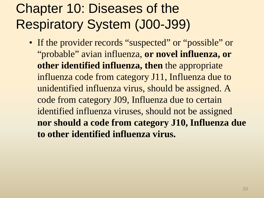## Chapter 10: Diseases of the Respiratory System (J00-J99)

• If the provider records "suspected" or "possible" or "probable" avian influenza, **or novel influenza, or other identified influenza, then** the appropriate influenza code from category J11, Influenza due to unidentified influenza virus, should be assigned. A code from category J09, Influenza due to certain identified influenza viruses, should not be assigned **nor should a code from category J10, Influenza due to other identified influenza virus.**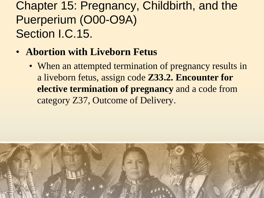#### Chapter 15: Pregnancy, Childbirth, and the Puerperium (O00-O9A) Section I.C.15.

- **Abortion with Liveborn Fetus**
	- When an attempted termination of pregnancy results in a liveborn fetus, assign code **Z33.2. Encounter for elective termination of pregnancy** and a code from category Z37, Outcome of Delivery.

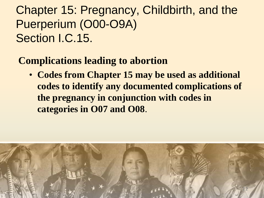#### Chapter 15: Pregnancy, Childbirth, and the Puerperium (O00-O9A) Section I.C.15.

#### **Complications leading to abortion**

• **Codes from Chapter 15 may be used as additional codes to identify any documented complications of the pregnancy in conjunction with codes in categories in O07 and O08**.

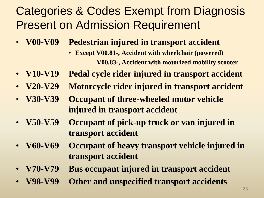#### Categories & Codes Exempt from Diagnosis Present on Admission Requirement

- **V00-V09 Pedestrian injured in transport accident**
	- **Except V00.81-, Accident with wheelchair (powered) V00.83-, Accident with motorized mobility scooter**
- **V10-V19 Pedal cycle rider injured in transport accident**
- **V20-V29 Motorcycle rider injured in transport accident**
- **V30-V39 Occupant of three-wheeled motor vehicle injured in transport accident**
- **V50-V59 Occupant of pick-up truck or van injured in transport accident**
- **V60-V69 Occupant of heavy transport vehicle injured in transport accident**
- **V70-V79 Bus occupant injured in transport accident**
- **V98-V99 Other and unspecified transport accidents**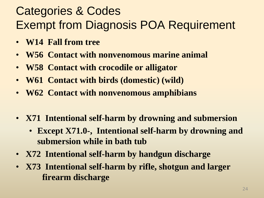#### Categories & Codes Exempt from Diagnosis POA Requirement

- **W14 Fall from tree**
- **W56 Contact with nonvenomous marine animal**
- **W58 Contact with crocodile or alligator**
- **W61 Contact with birds (domestic) (wild)**
- **W62 Contact with nonvenomous amphibians**
- **X71 Intentional self-harm by drowning and submersion** 
	- **Except X71.0-, Intentional self-harm by drowning and submersion while in bath tub**
- **X72 Intentional self-harm by handgun discharge**
- **X73 Intentional self-harm by rifle, shotgun and larger firearm discharge**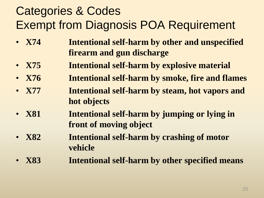#### Categories & Codes Exempt from Diagnosis POA Requirement

- **X74 Intentional self-harm by other and unspecified firearm and gun discharge**
- **X75 Intentional self-harm by explosive material**
- **X76 Intentional self-harm by smoke, fire and flames**
- **X77 Intentional self-harm by steam, hot vapors and hot objects**
- **X81 Intentional self-harm by jumping or lying in front of moving object**
- **X82 Intentional self-harm by crashing of motor vehicle**
- **X83 Intentional self-harm by other specified means**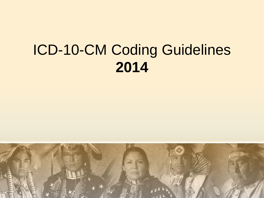# ICD-10-CM Coding Guidelines **2014**

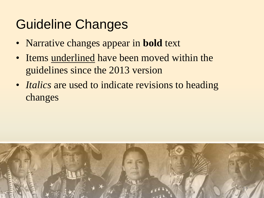## Guideline Changes

- Narrative changes appear in **bold** text
- Items underlined have been moved within the guidelines since the 2013 version
- *Italics* are used to indicate revisions to heading changes

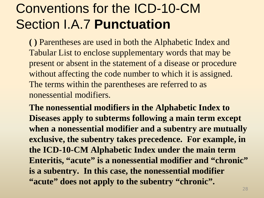### Conventions for the ICD-10-CM Section I.A.7 **Punctuation**

**( )** Parentheses are used in both the Alphabetic Index and Tabular List to enclose supplementary words that may be present or absent in the statement of a disease or procedure without affecting the code number to which it is assigned. The terms within the parentheses are referred to as nonessential modifiers.

**The nonessential modifiers in the Alphabetic Index to Diseases apply to subterms following a main term except when a nonessential modifier and a subentry are mutually exclusive, the subentry takes precedence. For example, in the ICD-10-CM Alphabetic Index under the main term**  Enteritis, "acute" is a nonessential modifier and "chronic" **is a subentry. In this case, the nonessential modifier "acute" does not apply to the subentry "chronic".**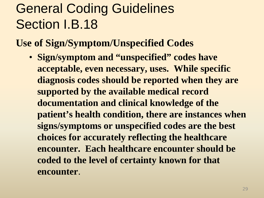## General Coding Guidelines Section I.B.18

**Use of Sign/Symptom/Unspecified Codes**

• **Sign/symptom and "unspecified" codes have acceptable, even necessary, uses. While specific diagnosis codes should be reported when they are supported by the available medical record documentation and clinical knowledge of the patient's health condition, there are instances when signs/symptoms or unspecified codes are the best choices for accurately reflecting the healthcare encounter. Each healthcare encounter should be coded to the level of certainty known for that encounter**.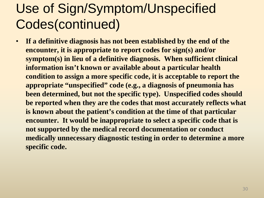### Use of Sign/Symptom/Unspecified Codes(continued)

• **If a definitive diagnosis has not been established by the end of the encounter, it is appropriate to report codes for sign(s) and/or symptom(s) in lieu of a definitive diagnosis. When sufficient clinical information isn't known or available about a particular health condition to assign a more specific code, it is acceptable to report the appropriate "unspecified" code (e.g., a diagnosis of pneumonia has been determined, but not the specific type). Unspecified codes should be reported when they are the codes that most accurately reflects what is known about the patient's condition at the time of that particular encounter. It would be inappropriate to select a specific code that is not supported by the medical record documentation or conduct medically unnecessary diagnostic testing in order to determine a more specific code.**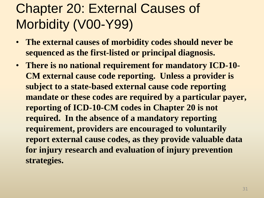## Chapter 20: External Causes of Morbidity (V00-Y99)

- **The external causes of morbidity codes should never be sequenced as the first-listed or principal diagnosis.**
- **There is no national requirement for mandatory ICD-10- CM external cause code reporting. Unless a provider is subject to a state-based external cause code reporting mandate or these codes are required by a particular payer, reporting of ICD-10-CM codes in Chapter 20 is not required. In the absence of a mandatory reporting requirement, providers are encouraged to voluntarily report external cause codes, as they provide valuable data for injury research and evaluation of injury prevention strategies.**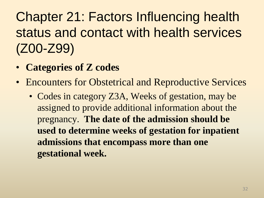Chapter 21: Factors Influencing health status and contact with health services (Z00-Z99)

- **Categories of Z codes**
- Encounters for Obstetrical and Reproductive Services
	- Codes in category Z3A, Weeks of gestation, may be assigned to provide additional information about the pregnancy. **The date of the admission should be used to determine weeks of gestation for inpatient admissions that encompass more than one gestational week.**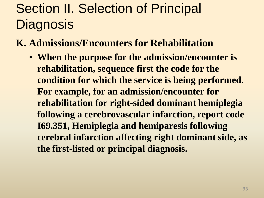## Section II. Selection of Principal **Diagnosis**

**K. Admissions/Encounters for Rehabilitation**

• **When the purpose for the admission/encounter is rehabilitation, sequence first the code for the condition for which the service is being performed. For example, for an admission/encounter for rehabilitation for right-sided dominant hemiplegia following a cerebrovascular infarction, report code I69.351, Hemiplegia and hemiparesis following cerebral infarction affecting right dominant side, as the first-listed or principal diagnosis.**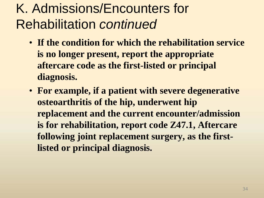### K. Admissions/Encounters for Rehabilitation *continued*

- **If the condition for which the rehabilitation service is no longer present, report the appropriate aftercare code as the first-listed or principal diagnosis.**
- **For example, if a patient with severe degenerative osteoarthritis of the hip, underwent hip replacement and the current encounter/admission is for rehabilitation, report code Z47.1, Aftercare following joint replacement surgery, as the firstlisted or principal diagnosis.**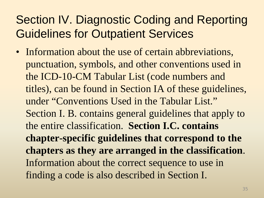#### Section IV. Diagnostic Coding and Reporting Guidelines for Outpatient Services

• Information about the use of certain abbreviations, punctuation, symbols, and other conventions used in the ICD-10-CM Tabular List (code numbers and titles), can be found in Section IA of these guidelines, under "Conventions Used in the Tabular List." Section I. B. contains general guidelines that apply to the entire classification. **Section I.C. contains chapter-specific guidelines that correspond to the chapters as they are arranged in the classification**. Information about the correct sequence to use in finding a code is also described in Section I.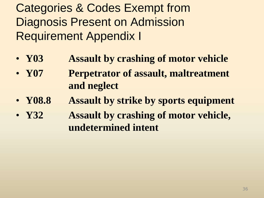Categories & Codes Exempt from Diagnosis Present on Admission Requirement Appendix I

- **Y03 Assault by crashing of motor vehicle**
- **Y07 Perpetrator of assault, maltreatment and neglect**
- **Y08.8 Assault by strike by sports equipment**
- **Y32 Assault by crashing of motor vehicle, undetermined intent**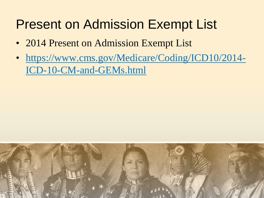#### Present on Admission Exempt List

- 2014 Present on Admission Exempt List
- [https://www.cms.gov/Medicare/Coding/ICD10/2014-](https://www.cms.gov/Medicare/Coding/ICD10/2014-ICD-10-CM-and-GEMs.html) [ICD-10-CM-and-GEMs.html](https://www.cms.gov/Medicare/Coding/ICD10/2014-ICD-10-CM-and-GEMs.html)